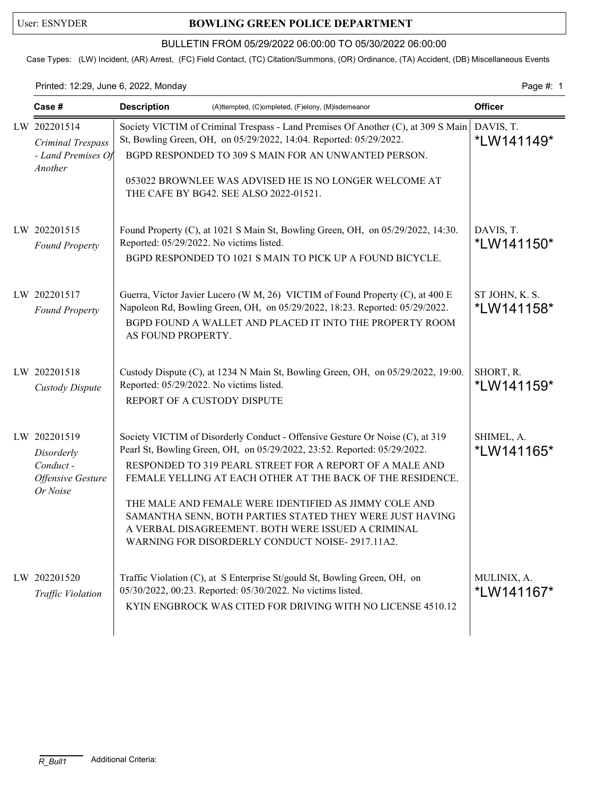## User: ESNYDER **BOWLING GREEN POLICE DEPARTMENT**

## BULLETIN FROM 05/29/2022 06:00:00 TO 05/30/2022 06:00:00

Case Types: (LW) Incident, (AR) Arrest, (FC) Field Contact, (TC) Citation/Summons, (OR) Ordinance, (TA) Accident, (DB) Miscellaneous Events

Printed: 12:29, June 6, 2022, Monday **Page #: 1** Page #: 1

| Case #                                                                         | <b>Description</b><br>(A)ttempted, (C)ompleted, (F)elony, (M)isdemeanor                                                                                                                                                                                                                                                                                                                                                                                                                                           | <b>Officer</b>                       |
|--------------------------------------------------------------------------------|-------------------------------------------------------------------------------------------------------------------------------------------------------------------------------------------------------------------------------------------------------------------------------------------------------------------------------------------------------------------------------------------------------------------------------------------------------------------------------------------------------------------|--------------------------------------|
| LW 202201514<br>Criminal Trespass<br>- Land Premises Of<br>Another             | Society VICTIM of Criminal Trespass - Land Premises Of Another (C), at 309 S Main<br>St, Bowling Green, OH, on 05/29/2022, 14:04. Reported: 05/29/2022.<br>BGPD RESPONDED TO 309 S MAIN FOR AN UNWANTED PERSON.<br>053022 BROWNLEE WAS ADVISED HE IS NO LONGER WELCOME AT<br>THE CAFE BY BG42. SEE ALSO 2022-01521.                                                                                                                                                                                               | DAVIS, T.<br>*LW141149*              |
| LW 202201515<br><b>Found Property</b>                                          | Found Property (C), at 1021 S Main St, Bowling Green, OH, on 05/29/2022, 14:30.<br>Reported: 05/29/2022. No victims listed.<br>BGPD RESPONDED TO 1021 S MAIN TO PICK UP A FOUND BICYCLE.                                                                                                                                                                                                                                                                                                                          | DAVIS, T.<br>*LW141150*              |
| LW 202201517<br><b>Found Property</b>                                          | Guerra, Victor Javier Lucero (W M, 26) VICTIM of Found Property (C), at 400 E<br>Napoleon Rd, Bowling Green, OH, on 05/29/2022, 18:23. Reported: 05/29/2022.<br>BGPD FOUND A WALLET AND PLACED IT INTO THE PROPERTY ROOM<br>AS FOUND PROPERTY.                                                                                                                                                                                                                                                                    | ST JOHN, K. S.<br><i>*</i> LW141158* |
| LW 202201518<br>Custody Dispute                                                | Custody Dispute (C), at 1234 N Main St, Bowling Green, OH, on 05/29/2022, 19:00.<br>Reported: 05/29/2022. No victims listed.<br>REPORT OF A CUSTODY DISPUTE                                                                                                                                                                                                                                                                                                                                                       | SHORT, R.<br>*LW141159*              |
| LW 202201519<br>Disorderly<br>Conduct-<br><b>Offensive Gesture</b><br>Or Noise | Society VICTIM of Disorderly Conduct - Offensive Gesture Or Noise (C), at 319<br>Pearl St, Bowling Green, OH, on 05/29/2022, 23:52. Reported: 05/29/2022.<br>RESPONDED TO 319 PEARL STREET FOR A REPORT OF A MALE AND<br>FEMALE YELLING AT EACH OTHER AT THE BACK OF THE RESIDENCE.<br>THE MALE AND FEMALE WERE IDENTIFIED AS JIMMY COLE AND<br>SAMANTHA SENN, BOTH PARTIES STATED THEY WERE JUST HAVING<br>A VERBAL DISAGREEMENT. BOTH WERE ISSUED A CRIMINAL<br>WARNING FOR DISORDERLY CONDUCT NOISE-2917.11A2. | SHIMEL, A.<br><i>*</i> LW141165*     |
| LW 202201520<br>Traffic Violation                                              | Traffic Violation (C), at S Enterprise St/gould St, Bowling Green, OH, on<br>05/30/2022, 00:23. Reported: 05/30/2022. No victims listed.<br>KYIN ENGBROCK WAS CITED FOR DRIVING WITH NO LICENSE 4510.12                                                                                                                                                                                                                                                                                                           | MULINIX, A.<br>*LW141167*            |